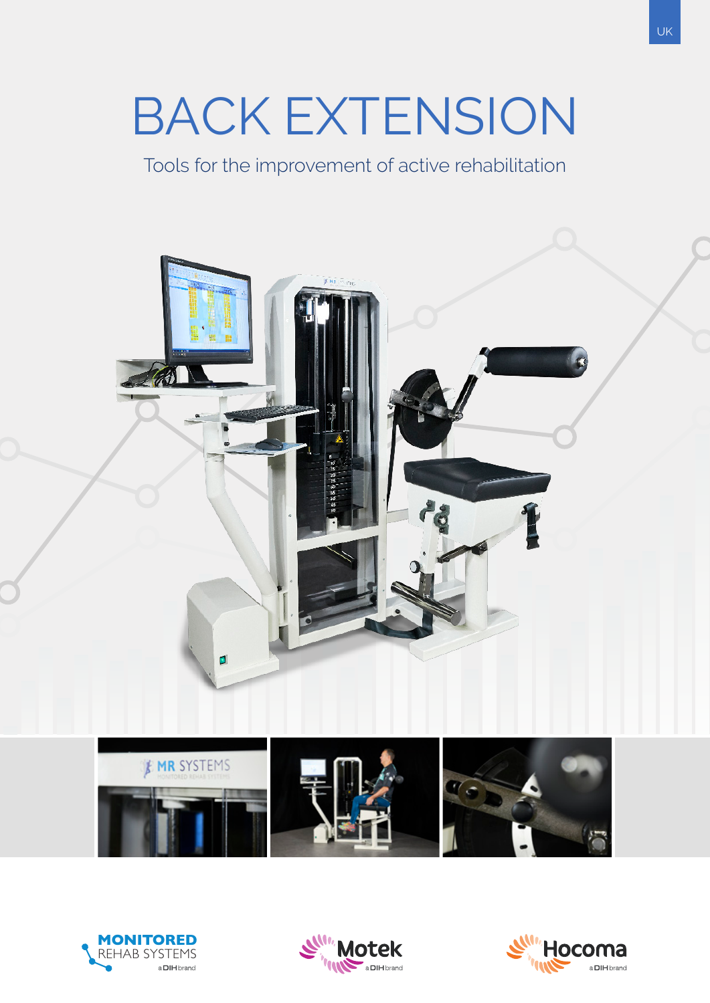# BACK EXTENSION

Tools for the improvement of active rehabilitation